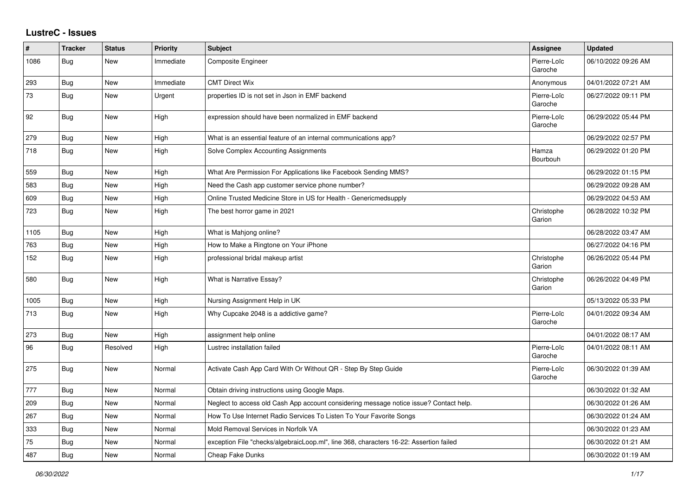## **LustreC - Issues**

| ∦    | <b>Tracker</b> | <b>Status</b> | <b>Priority</b> | <b>Subject</b>                                                                         | Assignee               | <b>Updated</b>      |
|------|----------------|---------------|-----------------|----------------------------------------------------------------------------------------|------------------------|---------------------|
| 1086 | <b>Bug</b>     | New           | Immediate       | Composite Engineer                                                                     | Pierre-Loïc<br>Garoche | 06/10/2022 09:26 AM |
| 293  | <b>Bug</b>     | New           | Immediate       | <b>CMT Direct Wix</b>                                                                  | Anonymous              | 04/01/2022 07:21 AM |
| 73   | Bug            | New           | Urgent          | properties ID is not set in Json in EMF backend                                        | Pierre-Loïc<br>Garoche | 06/27/2022 09:11 PM |
| 92   | <b>Bug</b>     | New           | High            | expression should have been normalized in EMF backend                                  | Pierre-Loïc<br>Garoche | 06/29/2022 05:44 PM |
| 279  | Bug            | <b>New</b>    | High            | What is an essential feature of an internal communications app?                        |                        | 06/29/2022 02:57 PM |
| 718  | Bug            | New           | High            | Solve Complex Accounting Assignments                                                   | Hamza<br>Bourbouh      | 06/29/2022 01:20 PM |
| 559  | Bug            | New           | High            | What Are Permission For Applications like Facebook Sending MMS?                        |                        | 06/29/2022 01:15 PM |
| 583  | <b>Bug</b>     | <b>New</b>    | High            | Need the Cash app customer service phone number?                                       |                        | 06/29/2022 09:28 AM |
| 609  | <b>Bug</b>     | New           | High            | Online Trusted Medicine Store in US for Health - Genericmedsupply                      |                        | 06/29/2022 04:53 AM |
| 723  | Bug            | New           | High            | The best horror game in 2021                                                           | Christophe<br>Garion   | 06/28/2022 10:32 PM |
| 1105 | Bug            | <b>New</b>    | High            | What is Mahjong online?                                                                |                        | 06/28/2022 03:47 AM |
| 763  | <b>Bug</b>     | <b>New</b>    | High            | How to Make a Ringtone on Your iPhone                                                  |                        | 06/27/2022 04:16 PM |
| 152  | <b>Bug</b>     | New           | High            | professional bridal makeup artist                                                      | Christophe<br>Garion   | 06/26/2022 05:44 PM |
| 580  | <b>Bug</b>     | New           | High            | What is Narrative Essay?                                                               | Christophe<br>Garion   | 06/26/2022 04:49 PM |
| 1005 | <b>Bug</b>     | New           | High            | Nursing Assignment Help in UK                                                          |                        | 05/13/2022 05:33 PM |
| 713  | <b>Bug</b>     | New           | High            | Why Cupcake 2048 is a addictive game?                                                  | Pierre-Loïc<br>Garoche | 04/01/2022 09:34 AM |
| 273  | Bug            | <b>New</b>    | High            | assignment help online                                                                 |                        | 04/01/2022 08:17 AM |
| 96   | Bug            | Resolved      | High            | Lustrec installation failed                                                            | Pierre-Loïc<br>Garoche | 04/01/2022 08:11 AM |
| 275  | Bug            | New           | Normal          | Activate Cash App Card With Or Without QR - Step By Step Guide                         | Pierre-Loïc<br>Garoche | 06/30/2022 01:39 AM |
| 777  | Bug            | <b>New</b>    | Normal          | Obtain driving instructions using Google Maps.                                         |                        | 06/30/2022 01:32 AM |
| 209  | <b>Bug</b>     | <b>New</b>    | Normal          | Neglect to access old Cash App account considering message notice issue? Contact help. |                        | 06/30/2022 01:26 AM |
| 267  | Bug            | New           | Normal          | How To Use Internet Radio Services To Listen To Your Favorite Songs                    |                        | 06/30/2022 01:24 AM |
| 333  | Bug            | <b>New</b>    | Normal          | Mold Removal Services in Norfolk VA                                                    |                        | 06/30/2022 01:23 AM |
| 75   | <b>Bug</b>     | <b>New</b>    | Normal          | exception File "checks/algebraicLoop.ml", line 368, characters 16-22: Assertion failed |                        | 06/30/2022 01:21 AM |
| 487  | Bug            | New           | Normal          | Cheap Fake Dunks                                                                       |                        | 06/30/2022 01:19 AM |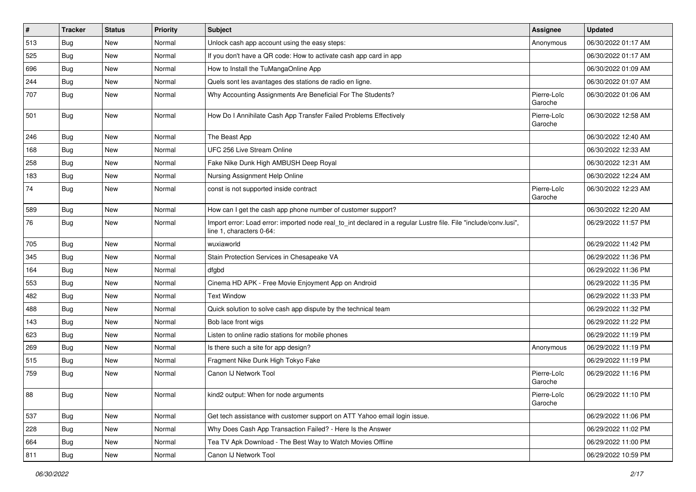| $\vert$ # | Tracker    | <b>Status</b> | <b>Priority</b> | Subject                                                                                                                                      | <b>Assignee</b>        | <b>Updated</b>      |
|-----------|------------|---------------|-----------------|----------------------------------------------------------------------------------------------------------------------------------------------|------------------------|---------------------|
| 513       | <b>Bug</b> | New           | Normal          | Unlock cash app account using the easy steps:                                                                                                | Anonymous              | 06/30/2022 01:17 AM |
| 525       | Bug        | New           | Normal          | If you don't have a QR code: How to activate cash app card in app                                                                            |                        | 06/30/2022 01:17 AM |
| 696       | <b>Bug</b> | New           | Normal          | How to Install the TuMangaOnline App                                                                                                         |                        | 06/30/2022 01:09 AM |
| 244       | Bug        | New           | Normal          | Quels sont les avantages des stations de radio en ligne.                                                                                     |                        | 06/30/2022 01:07 AM |
| 707       | <b>Bug</b> | New           | Normal          | Why Accounting Assignments Are Beneficial For The Students?                                                                                  | Pierre-Loïc<br>Garoche | 06/30/2022 01:06 AM |
| 501       | <b>Bug</b> | New           | Normal          | How Do I Annihilate Cash App Transfer Failed Problems Effectively                                                                            | Pierre-Loïc<br>Garoche | 06/30/2022 12:58 AM |
| 246       | <b>Bug</b> | New           | Normal          | The Beast App                                                                                                                                |                        | 06/30/2022 12:40 AM |
| 168       | Bug        | New           | Normal          | UFC 256 Live Stream Online                                                                                                                   |                        | 06/30/2022 12:33 AM |
| 258       | <b>Bug</b> | New           | Normal          | Fake Nike Dunk High AMBUSH Deep Royal                                                                                                        |                        | 06/30/2022 12:31 AM |
| 183       | <b>Bug</b> | New           | Normal          | Nursing Assignment Help Online                                                                                                               |                        | 06/30/2022 12:24 AM |
| 74        | Bug        | New           | Normal          | const is not supported inside contract                                                                                                       | Pierre-Loïc<br>Garoche | 06/30/2022 12:23 AM |
| 589       | <b>Bug</b> | New           | Normal          | How can I get the cash app phone number of customer support?                                                                                 |                        | 06/30/2022 12:20 AM |
| 76        | <b>Bug</b> | New           | Normal          | Import error: Load error: imported node real_to_int declared in a regular Lustre file. File "include/conv.lusi",<br>line 1, characters 0-64: |                        | 06/29/2022 11:57 PM |
| 705       | Bug        | New           | Normal          | wuxiaworld                                                                                                                                   |                        | 06/29/2022 11:42 PM |
| 345       | <b>Bug</b> | New           | Normal          | Stain Protection Services in Chesapeake VA                                                                                                   |                        | 06/29/2022 11:36 PM |
| 164       | Bug        | New           | Normal          | dfgbd                                                                                                                                        |                        | 06/29/2022 11:36 PM |
| 553       | Bug        | New           | Normal          | Cinema HD APK - Free Movie Enjoyment App on Android                                                                                          |                        | 06/29/2022 11:35 PM |
| 482       | Bug        | New           | Normal          | <b>Text Window</b>                                                                                                                           |                        | 06/29/2022 11:33 PM |
| 488       | Bug        | <b>New</b>    | Normal          | Quick solution to solve cash app dispute by the technical team                                                                               |                        | 06/29/2022 11:32 PM |
| 143       | <b>Bug</b> | New           | Normal          | Bob lace front wigs                                                                                                                          |                        | 06/29/2022 11:22 PM |
| 623       | <b>Bug</b> | New           | Normal          | Listen to online radio stations for mobile phones                                                                                            |                        | 06/29/2022 11:19 PM |
| 269       | Bug        | New           | Normal          | Is there such a site for app design?                                                                                                         | Anonymous              | 06/29/2022 11:19 PM |
| 515       | <b>Bug</b> | New           | Normal          | Fragment Nike Dunk High Tokyo Fake                                                                                                           |                        | 06/29/2022 11:19 PM |
| 759       | <b>Bug</b> | New           | Normal          | Canon IJ Network Tool                                                                                                                        | Pierre-Loïc<br>Garoche | 06/29/2022 11:16 PM |
| 88        | <b>Bug</b> | New           | Normal          | kind2 output: When for node arguments                                                                                                        | Pierre-Loïc<br>Garoche | 06/29/2022 11:10 PM |
| 537       | <b>Bug</b> | New           | Normal          | Get tech assistance with customer support on ATT Yahoo email login issue.                                                                    |                        | 06/29/2022 11:06 PM |
| 228       | <b>Bug</b> | New           | Normal          | Why Does Cash App Transaction Failed? - Here Is the Answer                                                                                   |                        | 06/29/2022 11:02 PM |
| 664       | <b>Bug</b> | New           | Normal          | Tea TV Apk Download - The Best Way to Watch Movies Offline                                                                                   |                        | 06/29/2022 11:00 PM |
| 811       | <b>Bug</b> | New           | Normal          | Canon IJ Network Tool                                                                                                                        |                        | 06/29/2022 10:59 PM |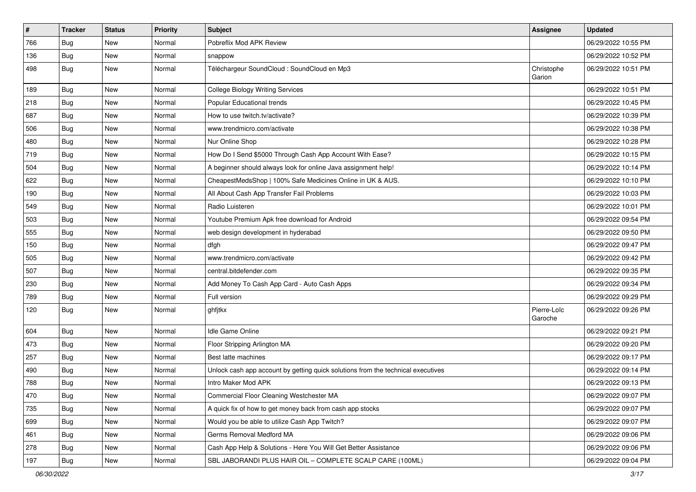| $\sharp$ | <b>Tracker</b> | <b>Status</b> | <b>Priority</b> | Subject                                                                          | <b>Assignee</b>        | <b>Updated</b>      |
|----------|----------------|---------------|-----------------|----------------------------------------------------------------------------------|------------------------|---------------------|
| 766      | Bug            | New           | Normal          | Pobreflix Mod APK Review                                                         |                        | 06/29/2022 10:55 PM |
| 136      | Bug            | <b>New</b>    | Normal          | snappow                                                                          |                        | 06/29/2022 10:52 PM |
| 498      | <b>Bug</b>     | <b>New</b>    | Normal          | Téléchargeur SoundCloud : SoundCloud en Mp3                                      | Christophe<br>Garion   | 06/29/2022 10:51 PM |
| 189      | Bug            | <b>New</b>    | Normal          | <b>College Biology Writing Services</b>                                          |                        | 06/29/2022 10:51 PM |
| 218      | <b>Bug</b>     | New           | Normal          | Popular Educational trends                                                       |                        | 06/29/2022 10:45 PM |
| 687      | Bug            | New           | Normal          | How to use twitch.tv/activate?                                                   |                        | 06/29/2022 10:39 PM |
| 506      | Bug            | New           | Normal          | www.trendmicro.com/activate                                                      |                        | 06/29/2022 10:38 PM |
| 480      | <b>Bug</b>     | <b>New</b>    | Normal          | Nur Online Shop                                                                  |                        | 06/29/2022 10:28 PM |
| 719      | Bug            | <b>New</b>    | Normal          | How Do I Send \$5000 Through Cash App Account With Ease?                         |                        | 06/29/2022 10:15 PM |
| 504      | Bug            | <b>New</b>    | Normal          | A beginner should always look for online Java assignment help!                   |                        | 06/29/2022 10:14 PM |
| 622      | <b>Bug</b>     | <b>New</b>    | Normal          | CheapestMedsShop   100% Safe Medicines Online in UK & AUS.                       |                        | 06/29/2022 10:10 PM |
| 190      | Bug            | <b>New</b>    | Normal          | All About Cash App Transfer Fail Problems                                        |                        | 06/29/2022 10:03 PM |
| 549      | Bug            | New           | Normal          | Radio Luisteren                                                                  |                        | 06/29/2022 10:01 PM |
| 503      | Bug            | <b>New</b>    | Normal          | Youtube Premium Apk free download for Android                                    |                        | 06/29/2022 09:54 PM |
| 555      | Bug            | New           | Normal          | web design development in hyderabad                                              |                        | 06/29/2022 09:50 PM |
| 150      | <b>Bug</b>     | <b>New</b>    | Normal          | dfgh                                                                             |                        | 06/29/2022 09:47 PM |
| 505      | Bug            | <b>New</b>    | Normal          | www.trendmicro.com/activate                                                      |                        | 06/29/2022 09:42 PM |
| 507      | Bug            | <b>New</b>    | Normal          | central.bitdefender.com                                                          |                        | 06/29/2022 09:35 PM |
| 230      | Bug            | <b>New</b>    | Normal          | Add Money To Cash App Card - Auto Cash Apps                                      |                        | 06/29/2022 09:34 PM |
| 789      | Bug            | New           | Normal          | Full version                                                                     |                        | 06/29/2022 09:29 PM |
| 120      | <b>Bug</b>     | <b>New</b>    | Normal          | ghfjtkx                                                                          | Pierre-Loïc<br>Garoche | 06/29/2022 09:26 PM |
| 604      | Bug            | <b>New</b>    | Normal          | <b>Idle Game Online</b>                                                          |                        | 06/29/2022 09:21 PM |
| 473      | <b>Bug</b>     | <b>New</b>    | Normal          | Floor Stripping Arlington MA                                                     |                        | 06/29/2022 09:20 PM |
| 257      | Bug            | <b>New</b>    | Normal          | Best latte machines                                                              |                        | 06/29/2022 09:17 PM |
| 490      | <b>Bug</b>     | New           | Normal          | Unlock cash app account by getting quick solutions from the technical executives |                        | 06/29/2022 09:14 PM |
| 788      | Bug            | <b>New</b>    | Normal          | Intro Maker Mod APK                                                              |                        | 06/29/2022 09:13 PM |
| 470      | <b>Bug</b>     | New           | Normal          | Commercial Floor Cleaning Westchester MA                                         |                        | 06/29/2022 09:07 PM |
| 735      | Bug            | New           | Normal          | A quick fix of how to get money back from cash app stocks                        |                        | 06/29/2022 09:07 PM |
| 699      | <b>Bug</b>     | New           | Normal          | Would you be able to utilize Cash App Twitch?                                    |                        | 06/29/2022 09:07 PM |
| 461      | <b>Bug</b>     | New           | Normal          | Germs Removal Medford MA                                                         |                        | 06/29/2022 09:06 PM |
| 278      | <b>Bug</b>     | New           | Normal          | Cash App Help & Solutions - Here You Will Get Better Assistance                  |                        | 06/29/2022 09:06 PM |
| 197      | Bug            | New           | Normal          | SBL JABORANDI PLUS HAIR OIL - COMPLETE SCALP CARE (100ML)                        |                        | 06/29/2022 09:04 PM |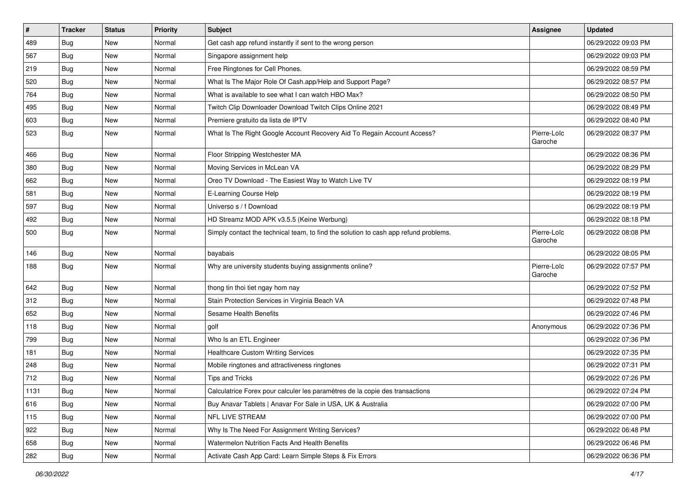| $\vert$ # | <b>Tracker</b> | <b>Status</b> | <b>Priority</b> | Subject                                                                              | Assignee               | <b>Updated</b>      |
|-----------|----------------|---------------|-----------------|--------------------------------------------------------------------------------------|------------------------|---------------------|
| 489       | <b>Bug</b>     | New           | Normal          | Get cash app refund instantly if sent to the wrong person                            |                        | 06/29/2022 09:03 PM |
| 567       | Bug            | New           | Normal          | Singapore assignment help                                                            |                        | 06/29/2022 09:03 PM |
| 219       | <b>Bug</b>     | New           | Normal          | Free Ringtones for Cell Phones.                                                      |                        | 06/29/2022 08:59 PM |
| 520       | <b>Bug</b>     | New           | Normal          | What Is The Major Role Of Cash.app/Help and Support Page?                            |                        | 06/29/2022 08:57 PM |
| 764       | <b>Bug</b>     | New           | Normal          | What is available to see what I can watch HBO Max?                                   |                        | 06/29/2022 08:50 PM |
| 495       | <b>Bug</b>     | New           | Normal          | Twitch Clip Downloader Download Twitch Clips Online 2021                             |                        | 06/29/2022 08:49 PM |
| 603       | <b>Bug</b>     | New           | Normal          | Premiere gratuito da lista de IPTV                                                   |                        | 06/29/2022 08:40 PM |
| 523       | Bug            | New           | Normal          | What Is The Right Google Account Recovery Aid To Regain Account Access?              | Pierre-Loïc<br>Garoche | 06/29/2022 08:37 PM |
| 466       | <b>Bug</b>     | New           | Normal          | Floor Stripping Westchester MA                                                       |                        | 06/29/2022 08:36 PM |
| 380       | <b>Bug</b>     | New           | Normal          | Moving Services in McLean VA                                                         |                        | 06/29/2022 08:29 PM |
| 662       | <b>Bug</b>     | New           | Normal          | Oreo TV Download - The Easiest Way to Watch Live TV                                  |                        | 06/29/2022 08:19 PM |
| 581       | <b>Bug</b>     | New           | Normal          | E-Learning Course Help                                                               |                        | 06/29/2022 08:19 PM |
| 597       | <b>Bug</b>     | New           | Normal          | Universo s / f Download                                                              |                        | 06/29/2022 08:19 PM |
| 492       | <b>Bug</b>     | New           | Normal          | HD Streamz MOD APK v3.5.5 (Keine Werbung)                                            |                        | 06/29/2022 08:18 PM |
| 500       | <b>Bug</b>     | New           | Normal          | Simply contact the technical team, to find the solution to cash app refund problems. | Pierre-Loïc<br>Garoche | 06/29/2022 08:08 PM |
| 146       | Bug            | New           | Normal          | bayabais                                                                             |                        | 06/29/2022 08:05 PM |
| 188       | <b>Bug</b>     | New           | Normal          | Why are university students buying assignments online?                               | Pierre-Loïc<br>Garoche | 06/29/2022 07:57 PM |
| 642       | Bug            | New           | Normal          | thong tin thoi tiet ngay hom nay                                                     |                        | 06/29/2022 07:52 PM |
| 312       | <b>Bug</b>     | New           | Normal          | Stain Protection Services in Virginia Beach VA                                       |                        | 06/29/2022 07:48 PM |
| 652       | <b>Bug</b>     | New           | Normal          | Sesame Health Benefits                                                               |                        | 06/29/2022 07:46 PM |
| 118       | Bug            | New           | Normal          | golf                                                                                 | Anonymous              | 06/29/2022 07:36 PM |
| 799       | <b>Bug</b>     | New           | Normal          | Who Is an ETL Engineer                                                               |                        | 06/29/2022 07:36 PM |
| 181       | Bug            | New           | Normal          | <b>Healthcare Custom Writing Services</b>                                            |                        | 06/29/2022 07:35 PM |
| 248       | Bug            | New           | Normal          | Mobile ringtones and attractiveness ringtones                                        |                        | 06/29/2022 07:31 PM |
| 712       | <b>Bug</b>     | New           | Normal          | <b>Tips and Tricks</b>                                                               |                        | 06/29/2022 07:26 PM |
| 1131      | Bug            | New           | Normal          | Calculatrice Forex pour calculer les paramètres de la copie des transactions         |                        | 06/29/2022 07:24 PM |
| 616       | Bug            | New           | Normal          | Buy Anavar Tablets   Anavar For Sale in USA, UK & Australia                          |                        | 06/29/2022 07:00 PM |
| 115       | <b>Bug</b>     | New           | Normal          | NFL LIVE STREAM                                                                      |                        | 06/29/2022 07:00 PM |
| 922       | <b>Bug</b>     | New           | Normal          | Why Is The Need For Assignment Writing Services?                                     |                        | 06/29/2022 06:48 PM |
| 658       | Bug            | New           | Normal          | Watermelon Nutrition Facts And Health Benefits                                       |                        | 06/29/2022 06:46 PM |
| 282       | <b>Bug</b>     | New           | Normal          | Activate Cash App Card: Learn Simple Steps & Fix Errors                              |                        | 06/29/2022 06:36 PM |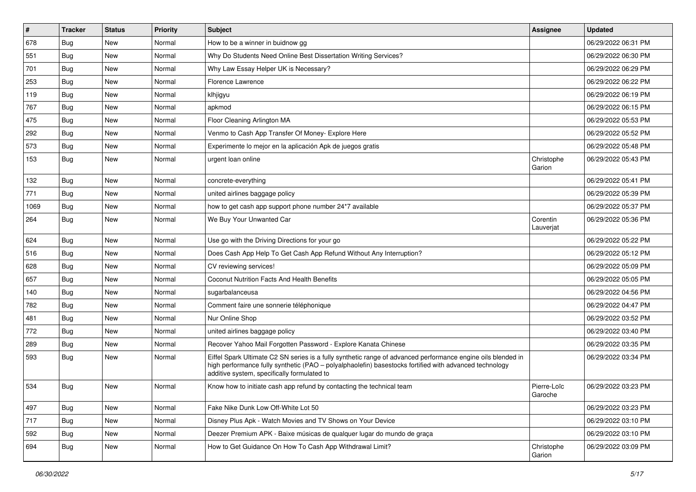| $\pmb{\sharp}$ | <b>Tracker</b> | <b>Status</b> | <b>Priority</b> | Subject                                                                                                                                                                                                                                                               | Assignee               | <b>Updated</b>      |
|----------------|----------------|---------------|-----------------|-----------------------------------------------------------------------------------------------------------------------------------------------------------------------------------------------------------------------------------------------------------------------|------------------------|---------------------|
| 678            | <b>Bug</b>     | New           | Normal          | How to be a winner in buidnow gg                                                                                                                                                                                                                                      |                        | 06/29/2022 06:31 PM |
| 551            | <b>Bug</b>     | New           | Normal          | Why Do Students Need Online Best Dissertation Writing Services?                                                                                                                                                                                                       |                        | 06/29/2022 06:30 PM |
| 701            | Bug            | New           | Normal          | Why Law Essay Helper UK is Necessary?                                                                                                                                                                                                                                 |                        | 06/29/2022 06:29 PM |
| 253            | <b>Bug</b>     | New           | Normal          | Florence Lawrence                                                                                                                                                                                                                                                     |                        | 06/29/2022 06:22 PM |
| 119            | <b>Bug</b>     | New           | Normal          | klhjigyu                                                                                                                                                                                                                                                              |                        | 06/29/2022 06:19 PM |
| 767            | <b>Bug</b>     | New           | Normal          | apkmod                                                                                                                                                                                                                                                                |                        | 06/29/2022 06:15 PM |
| 475            | Bug            | New           | Normal          | Floor Cleaning Arlington MA                                                                                                                                                                                                                                           |                        | 06/29/2022 05:53 PM |
| 292            | <b>Bug</b>     | New           | Normal          | Venmo to Cash App Transfer Of Money- Explore Here                                                                                                                                                                                                                     |                        | 06/29/2022 05:52 PM |
| 573            | <b>Bug</b>     | New           | Normal          | Experimente lo mejor en la aplicación Apk de juegos gratis                                                                                                                                                                                                            |                        | 06/29/2022 05:48 PM |
| 153            | Bug            | New           | Normal          | urgent loan online                                                                                                                                                                                                                                                    | Christophe<br>Garion   | 06/29/2022 05:43 PM |
| 132            | <b>Bug</b>     | New           | Normal          | concrete-everything                                                                                                                                                                                                                                                   |                        | 06/29/2022 05:41 PM |
| 771            | Bug            | New           | Normal          | united airlines baggage policy                                                                                                                                                                                                                                        |                        | 06/29/2022 05:39 PM |
| 1069           | <b>Bug</b>     | New           | Normal          | how to get cash app support phone number 24*7 available                                                                                                                                                                                                               |                        | 06/29/2022 05:37 PM |
| 264            | <b>Bug</b>     | New           | Normal          | We Buy Your Unwanted Car                                                                                                                                                                                                                                              | Corentin<br>Lauverjat  | 06/29/2022 05:36 PM |
| 624            | <b>Bug</b>     | New           | Normal          | Use go with the Driving Directions for your go                                                                                                                                                                                                                        |                        | 06/29/2022 05:22 PM |
| 516            | Bug            | New           | Normal          | Does Cash App Help To Get Cash App Refund Without Any Interruption?                                                                                                                                                                                                   |                        | 06/29/2022 05:12 PM |
| 628            | Bug            | New           | Normal          | CV reviewing services!                                                                                                                                                                                                                                                |                        | 06/29/2022 05:09 PM |
| 657            | Bug            | New           | Normal          | Coconut Nutrition Facts And Health Benefits                                                                                                                                                                                                                           |                        | 06/29/2022 05:05 PM |
| 140            | <b>Bug</b>     | New           | Normal          | sugarbalanceusa                                                                                                                                                                                                                                                       |                        | 06/29/2022 04:56 PM |
| 782            | Bug            | New           | Normal          | Comment faire une sonnerie téléphonique                                                                                                                                                                                                                               |                        | 06/29/2022 04:47 PM |
| 481            | <b>Bug</b>     | New           | Normal          | Nur Online Shop                                                                                                                                                                                                                                                       |                        | 06/29/2022 03:52 PM |
| 772            | <b>Bug</b>     | New           | Normal          | united airlines baggage policy                                                                                                                                                                                                                                        |                        | 06/29/2022 03:40 PM |
| 289            | <b>Bug</b>     | New           | Normal          | Recover Yahoo Mail Forgotten Password - Explore Kanata Chinese                                                                                                                                                                                                        |                        | 06/29/2022 03:35 PM |
| 593            | <b>Bug</b>     | New           | Normal          | Eiffel Spark Ultimate C2 SN series is a fully synthetic range of advanced performance engine oils blended in<br>high performance fully synthetic (PAO - polyalphaolefin) basestocks fortified with advanced technology<br>additive system, specifically formulated to |                        | 06/29/2022 03:34 PM |
| 534            | <b>Bug</b>     | New           | Normal          | Know how to initiate cash app refund by contacting the technical team                                                                                                                                                                                                 | Pierre-Loïc<br>Garoche | 06/29/2022 03:23 PM |
| 497            | <b>Bug</b>     | New           | Normal          | Fake Nike Dunk Low Off-White Lot 50                                                                                                                                                                                                                                   |                        | 06/29/2022 03:23 PM |
| 717            | Bug            | New           | Normal          | Disney Plus Apk - Watch Movies and TV Shows on Your Device                                                                                                                                                                                                            |                        | 06/29/2022 03:10 PM |
| 592            | <b>Bug</b>     | New           | Normal          | Deezer Premium APK - Baixe músicas de qualquer lugar do mundo de graça                                                                                                                                                                                                |                        | 06/29/2022 03:10 PM |
| 694            | <b>Bug</b>     | New           | Normal          | How to Get Guidance On How To Cash App Withdrawal Limit?                                                                                                                                                                                                              | Christophe<br>Garion   | 06/29/2022 03:09 PM |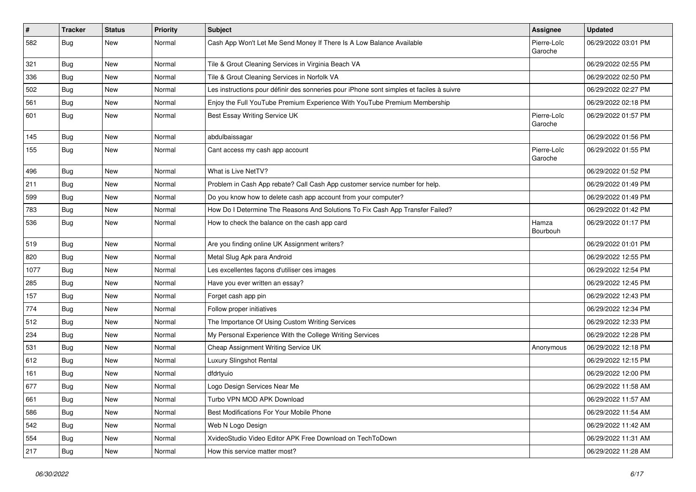| $\vert$ # | <b>Tracker</b> | <b>Status</b> | <b>Priority</b> | <b>Subject</b>                                                                           | <b>Assignee</b>        | <b>Updated</b>      |
|-----------|----------------|---------------|-----------------|------------------------------------------------------------------------------------------|------------------------|---------------------|
| 582       | <b>Bug</b>     | New           | Normal          | Cash App Won't Let Me Send Money If There Is A Low Balance Available                     | Pierre-Loïc<br>Garoche | 06/29/2022 03:01 PM |
| 321       | Bug            | <b>New</b>    | Normal          | Tile & Grout Cleaning Services in Virginia Beach VA                                      |                        | 06/29/2022 02:55 PM |
| 336       | <b>Bug</b>     | New           | Normal          | Tile & Grout Cleaning Services in Norfolk VA                                             |                        | 06/29/2022 02:50 PM |
| 502       | Bug            | <b>New</b>    | Normal          | Les instructions pour définir des sonneries pour iPhone sont simples et faciles à suivre |                        | 06/29/2022 02:27 PM |
| 561       | Bug            | New           | Normal          | Enjoy the Full YouTube Premium Experience With YouTube Premium Membership                |                        | 06/29/2022 02:18 PM |
| 601       | Bug            | New           | Normal          | Best Essay Writing Service UK                                                            | Pierre-Loïc<br>Garoche | 06/29/2022 01:57 PM |
| 145       | <b>Bug</b>     | <b>New</b>    | Normal          | abdulbaissagar                                                                           |                        | 06/29/2022 01:56 PM |
| 155       | Bug            | New           | Normal          | Cant access my cash app account                                                          | Pierre-Loïc<br>Garoche | 06/29/2022 01:55 PM |
| 496       | <b>Bug</b>     | <b>New</b>    | Normal          | What is Live NetTV?                                                                      |                        | 06/29/2022 01:52 PM |
| 211       | Bug            | <b>New</b>    | Normal          | Problem in Cash App rebate? Call Cash App customer service number for help.              |                        | 06/29/2022 01:49 PM |
| 599       | Bug            | New           | Normal          | Do you know how to delete cash app account from your computer?                           |                        | 06/29/2022 01:49 PM |
| 783       | <b>Bug</b>     | New           | Normal          | How Do I Determine The Reasons And Solutions To Fix Cash App Transfer Failed?            |                        | 06/29/2022 01:42 PM |
| 536       | <b>Bug</b>     | <b>New</b>    | Normal          | How to check the balance on the cash app card                                            | Hamza<br>Bourbouh      | 06/29/2022 01:17 PM |
| 519       | <b>Bug</b>     | <b>New</b>    | Normal          | Are you finding online UK Assignment writers?                                            |                        | 06/29/2022 01:01 PM |
| 820       | <b>Bug</b>     | New           | Normal          | Metal Slug Apk para Android                                                              |                        | 06/29/2022 12:55 PM |
| 1077      | <b>Bug</b>     | <b>New</b>    | Normal          | Les excellentes façons d'utiliser ces images                                             |                        | 06/29/2022 12:54 PM |
| 285       | Bug            | <b>New</b>    | Normal          | Have you ever written an essay?                                                          |                        | 06/29/2022 12:45 PM |
| 157       | <b>Bug</b>     | New           | Normal          | Forget cash app pin                                                                      |                        | 06/29/2022 12:43 PM |
| 774       | <b>Bug</b>     | <b>New</b>    | Normal          | Follow proper initiatives                                                                |                        | 06/29/2022 12:34 PM |
| 512       | <b>Bug</b>     | <b>New</b>    | Normal          | The Importance Of Using Custom Writing Services                                          |                        | 06/29/2022 12:33 PM |
| 234       | <b>Bug</b>     | New           | Normal          | My Personal Experience With the College Writing Services                                 |                        | 06/29/2022 12:28 PM |
| 531       | <b>Bug</b>     | <b>New</b>    | Normal          | Cheap Assignment Writing Service UK                                                      | Anonymous              | 06/29/2022 12:18 PM |
| 612       | Bug            | New           | Normal          | Luxury Slingshot Rental                                                                  |                        | 06/29/2022 12:15 PM |
| 161       | <b>Bug</b>     | New           | Normal          | dfdrtyuio                                                                                |                        | 06/29/2022 12:00 PM |
| 677       | <b>Bug</b>     | New           | Normal          | Logo Design Services Near Me                                                             |                        | 06/29/2022 11:58 AM |
| 661       | <b>Bug</b>     | New           | Normal          | Turbo VPN MOD APK Download                                                               |                        | 06/29/2022 11:57 AM |
| 586       | <b>Bug</b>     | New           | Normal          | Best Modifications For Your Mobile Phone                                                 |                        | 06/29/2022 11:54 AM |
| 542       | Bug            | New           | Normal          | Web N Logo Design                                                                        |                        | 06/29/2022 11:42 AM |
| 554       | <b>Bug</b>     | New           | Normal          | XvideoStudio Video Editor APK Free Download on TechToDown                                |                        | 06/29/2022 11:31 AM |
| 217       | Bug            | New           | Normal          | How this service matter most?                                                            |                        | 06/29/2022 11:28 AM |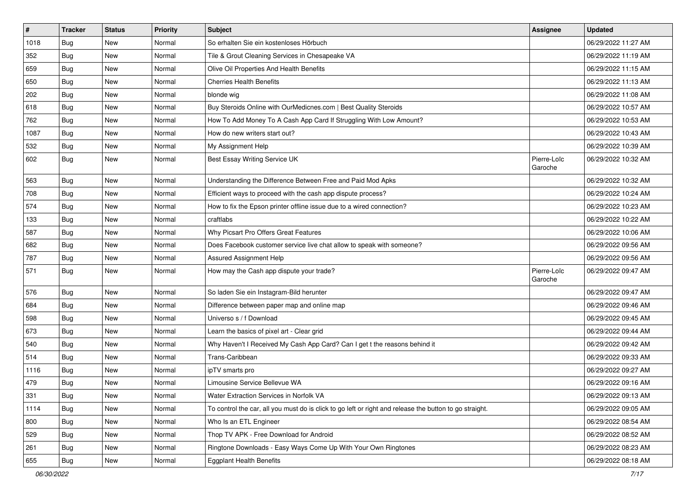| $\vert$ # | <b>Tracker</b> | <b>Status</b> | <b>Priority</b> | Subject                                                                                                 | Assignee               | <b>Updated</b>      |
|-----------|----------------|---------------|-----------------|---------------------------------------------------------------------------------------------------------|------------------------|---------------------|
| 1018      | <b>Bug</b>     | New           | Normal          | So erhalten Sie ein kostenloses Hörbuch                                                                 |                        | 06/29/2022 11:27 AM |
| 352       | Bug            | New           | Normal          | Tile & Grout Cleaning Services in Chesapeake VA                                                         |                        | 06/29/2022 11:19 AM |
| 659       | Bug            | New           | Normal          | Olive Oil Properties And Health Benefits                                                                |                        | 06/29/2022 11:15 AM |
| 650       | <b>Bug</b>     | New           | Normal          | <b>Cherries Health Benefits</b>                                                                         |                        | 06/29/2022 11:13 AM |
| 202       | <b>Bug</b>     | <b>New</b>    | Normal          | blonde wig                                                                                              |                        | 06/29/2022 11:08 AM |
| 618       | <b>Bug</b>     | New           | Normal          | Buy Steroids Online with OurMedicnes.com   Best Quality Steroids                                        |                        | 06/29/2022 10:57 AM |
| 762       | Bug            | New           | Normal          | How To Add Money To A Cash App Card If Struggling With Low Amount?                                      |                        | 06/29/2022 10:53 AM |
| 1087      | <b>Bug</b>     | New           | Normal          | How do new writers start out?                                                                           |                        | 06/29/2022 10:43 AM |
| 532       | <b>Bug</b>     | New           | Normal          | My Assignment Help                                                                                      |                        | 06/29/2022 10:39 AM |
| 602       | <b>Bug</b>     | New           | Normal          | Best Essay Writing Service UK                                                                           | Pierre-Loïc<br>Garoche | 06/29/2022 10:32 AM |
| 563       | <b>Bug</b>     | <b>New</b>    | Normal          | Understanding the Difference Between Free and Paid Mod Apks                                             |                        | 06/29/2022 10:32 AM |
| 708       | Bug            | New           | Normal          | Efficient ways to proceed with the cash app dispute process?                                            |                        | 06/29/2022 10:24 AM |
| 574       | Bug            | New           | Normal          | How to fix the Epson printer offline issue due to a wired connection?                                   |                        | 06/29/2022 10:23 AM |
| 133       | Bug            | New           | Normal          | craftlabs                                                                                               |                        | 06/29/2022 10:22 AM |
| 587       | <b>Bug</b>     | New           | Normal          | Why Picsart Pro Offers Great Features                                                                   |                        | 06/29/2022 10:06 AM |
| 682       | <b>Bug</b>     | New           | Normal          | Does Facebook customer service live chat allow to speak with someone?                                   |                        | 06/29/2022 09:56 AM |
| 787       | Bug            | New           | Normal          | Assured Assignment Help                                                                                 |                        | 06/29/2022 09:56 AM |
| 571       | Bug            | New           | Normal          | How may the Cash app dispute your trade?                                                                | Pierre-Loïc<br>Garoche | 06/29/2022 09:47 AM |
| 576       | Bug            | New           | Normal          | So laden Sie ein Instagram-Bild herunter                                                                |                        | 06/29/2022 09:47 AM |
| 684       | Bug            | New           | Normal          | Difference between paper map and online map                                                             |                        | 06/29/2022 09:46 AM |
| 598       | <b>Bug</b>     | <b>New</b>    | Normal          | Universo s / f Download                                                                                 |                        | 06/29/2022 09:45 AM |
| 673       | Bug            | New           | Normal          | Learn the basics of pixel art - Clear grid                                                              |                        | 06/29/2022 09:44 AM |
| 540       | <b>Bug</b>     | New           | Normal          | Why Haven't I Received My Cash App Card? Can I get t the reasons behind it                              |                        | 06/29/2022 09:42 AM |
| 514       | Bug            | <b>New</b>    | Normal          | Trans-Caribbean                                                                                         |                        | 06/29/2022 09:33 AM |
| 1116      | <b>Bug</b>     | New           | Normal          | ipTV smarts pro                                                                                         |                        | 06/29/2022 09:27 AM |
| 479       | Bug            | New           | Normal          | Limousine Service Bellevue WA                                                                           |                        | 06/29/2022 09:16 AM |
| 331       | Bug            | New           | Normal          | Water Extraction Services in Norfolk VA                                                                 |                        | 06/29/2022 09:13 AM |
| 1114      | Bug            | New           | Normal          | To control the car, all you must do is click to go left or right and release the button to go straight. |                        | 06/29/2022 09:05 AM |
| 800       | Bug            | New           | Normal          | Who Is an ETL Engineer                                                                                  |                        | 06/29/2022 08:54 AM |
| 529       | <b>Bug</b>     | New           | Normal          | Thop TV APK - Free Download for Android                                                                 |                        | 06/29/2022 08:52 AM |
| 261       | Bug            | New           | Normal          | Ringtone Downloads - Easy Ways Come Up With Your Own Ringtones                                          |                        | 06/29/2022 08:23 AM |
| 655       | <b>Bug</b>     | New           | Normal          | <b>Eggplant Health Benefits</b>                                                                         |                        | 06/29/2022 08:18 AM |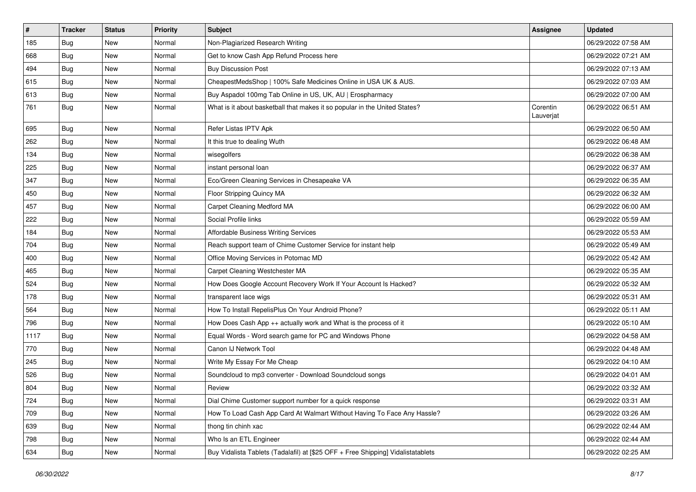| $\vert$ # | <b>Tracker</b> | <b>Status</b> | <b>Priority</b> | <b>Subject</b>                                                                   | <b>Assignee</b>       | <b>Updated</b>      |
|-----------|----------------|---------------|-----------------|----------------------------------------------------------------------------------|-----------------------|---------------------|
| 185       | <b>Bug</b>     | New           | Normal          | Non-Plagiarized Research Writing                                                 |                       | 06/29/2022 07:58 AM |
| 668       | Bug            | <b>New</b>    | Normal          | Get to know Cash App Refund Process here                                         |                       | 06/29/2022 07:21 AM |
| 494       | <b>Bug</b>     | New           | Normal          | <b>Buy Discussion Post</b>                                                       |                       | 06/29/2022 07:13 AM |
| 615       | <b>Bug</b>     | <b>New</b>    | Normal          | CheapestMedsShop   100% Safe Medicines Online in USA UK & AUS.                   |                       | 06/29/2022 07:03 AM |
| 613       | <b>Bug</b>     | New           | Normal          | Buy Aspadol 100mg Tab Online in US, UK, AU   Erospharmacy                        |                       | 06/29/2022 07:00 AM |
| 761       | Bug            | New           | Normal          | What is it about basketball that makes it so popular in the United States?       | Corentin<br>Lauverjat | 06/29/2022 06:51 AM |
| 695       | Bug            | New           | Normal          | Refer Listas IPTV Apk                                                            |                       | 06/29/2022 06:50 AM |
| 262       | <b>Bug</b>     | <b>New</b>    | Normal          | It this true to dealing Wuth                                                     |                       | 06/29/2022 06:48 AM |
| 134       | Bug            | New           | Normal          | wisegolfers                                                                      |                       | 06/29/2022 06:38 AM |
| 225       | Bug            | New           | Normal          | instant personal loan                                                            |                       | 06/29/2022 06:37 AM |
| 347       | Bug            | New           | Normal          | Eco/Green Cleaning Services in Chesapeake VA                                     |                       | 06/29/2022 06:35 AM |
| 450       | Bug            | New           | Normal          | Floor Stripping Quincy MA                                                        |                       | 06/29/2022 06:32 AM |
| 457       | <b>Bug</b>     | <b>New</b>    | Normal          | Carpet Cleaning Medford MA                                                       |                       | 06/29/2022 06:00 AM |
| 222       | Bug            | New           | Normal          | Social Profile links                                                             |                       | 06/29/2022 05:59 AM |
| 184       | <b>Bug</b>     | New           | Normal          | Affordable Business Writing Services                                             |                       | 06/29/2022 05:53 AM |
| 704       | <b>Bug</b>     | New           | Normal          | Reach support team of Chime Customer Service for instant help                    |                       | 06/29/2022 05:49 AM |
| 400       | Bug            | New           | Normal          | Office Moving Services in Potomac MD                                             |                       | 06/29/2022 05:42 AM |
| 465       | <b>Bug</b>     | <b>New</b>    | Normal          | Carpet Cleaning Westchester MA                                                   |                       | 06/29/2022 05:35 AM |
| 524       | <b>Bug</b>     | <b>New</b>    | Normal          | How Does Google Account Recovery Work If Your Account Is Hacked?                 |                       | 06/29/2022 05:32 AM |
| 178       | Bug            | New           | Normal          | transparent lace wigs                                                            |                       | 06/29/2022 05:31 AM |
| 564       | <b>Bug</b>     | <b>New</b>    | Normal          | How To Install RepelisPlus On Your Android Phone?                                |                       | 06/29/2022 05:11 AM |
| 796       | Bug            | <b>New</b>    | Normal          | How Does Cash App ++ actually work and What is the process of it                 |                       | 06/29/2022 05:10 AM |
| 1117      | <b>Bug</b>     | New           | Normal          | Equal Words - Word search game for PC and Windows Phone                          |                       | 06/29/2022 04:58 AM |
| 770       | <b>Bug</b>     | New           | Normal          | Canon IJ Network Tool                                                            |                       | 06/29/2022 04:48 AM |
| 245       | <b>Bug</b>     | New           | Normal          | Write My Essay For Me Cheap                                                      |                       | 06/29/2022 04:10 AM |
| 526       | <b>Bug</b>     | <b>New</b>    | Normal          | Soundcloud to mp3 converter - Download Soundcloud songs                          |                       | 06/29/2022 04:01 AM |
| 804       | <b>Bug</b>     | <b>New</b>    | Normal          | Review                                                                           |                       | 06/29/2022 03:32 AM |
| 724       | <b>Bug</b>     | New           | Normal          | Dial Chime Customer support number for a quick response                          |                       | 06/29/2022 03:31 AM |
| 709       | Bug            | New           | Normal          | How To Load Cash App Card At Walmart Without Having To Face Any Hassle?          |                       | 06/29/2022 03:26 AM |
| 639       | <b>Bug</b>     | New           | Normal          | thong tin chinh xac                                                              |                       | 06/29/2022 02:44 AM |
| 798       | <b>Bug</b>     | New           | Normal          | Who Is an ETL Engineer                                                           |                       | 06/29/2022 02:44 AM |
| 634       | <b>Bug</b>     | New           | Normal          | Buy Vidalista Tablets (Tadalafil) at [\$25 OFF + Free Shipping] Vidalistatablets |                       | 06/29/2022 02:25 AM |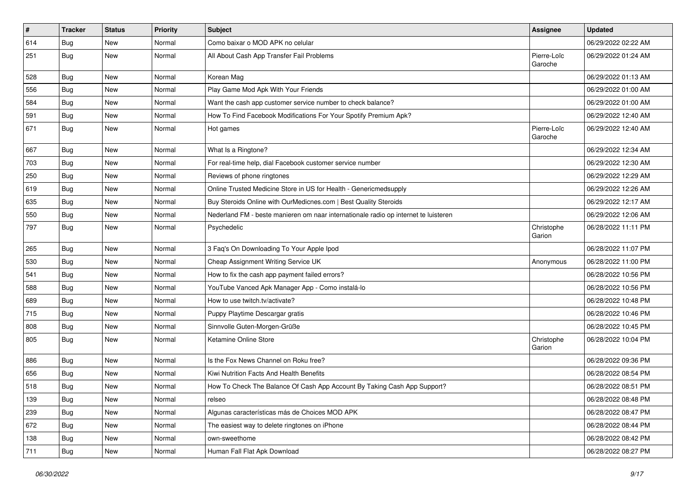| $\sharp$ | <b>Tracker</b> | <b>Status</b> | <b>Priority</b> | Subject                                                                             | <b>Assignee</b>        | <b>Updated</b>      |
|----------|----------------|---------------|-----------------|-------------------------------------------------------------------------------------|------------------------|---------------------|
| 614      | <b>Bug</b>     | New           | Normal          | Como baixar o MOD APK no celular                                                    |                        | 06/29/2022 02:22 AM |
| 251      | Bug            | <b>New</b>    | Normal          | All About Cash App Transfer Fail Problems                                           | Pierre-Loïc<br>Garoche | 06/29/2022 01:24 AM |
| 528      | Bug            | <b>New</b>    | Normal          | Korean Mag                                                                          |                        | 06/29/2022 01:13 AM |
| 556      | Bug            | <b>New</b>    | Normal          | Play Game Mod Apk With Your Friends                                                 |                        | 06/29/2022 01:00 AM |
| 584      | <b>Bug</b>     | <b>New</b>    | Normal          | Want the cash app customer service number to check balance?                         |                        | 06/29/2022 01:00 AM |
| 591      | Bug            | New           | Normal          | How To Find Facebook Modifications For Your Spotify Premium Apk?                    |                        | 06/29/2022 12:40 AM |
| 671      | Bug            | New           | Normal          | Hot games                                                                           | Pierre-Loïc<br>Garoche | 06/29/2022 12:40 AM |
| 667      | Bug            | <b>New</b>    | Normal          | What Is a Ringtone?                                                                 |                        | 06/29/2022 12:34 AM |
| 703      | Bug            | New           | Normal          | For real-time help, dial Facebook customer service number                           |                        | 06/29/2022 12:30 AM |
| 250      | Bug            | <b>New</b>    | Normal          | Reviews of phone ringtones                                                          |                        | 06/29/2022 12:29 AM |
| 619      | Bug            | <b>New</b>    | Normal          | Online Trusted Medicine Store in US for Health - Genericmedsupply                   |                        | 06/29/2022 12:26 AM |
| 635      | <b>Bug</b>     | New           | Normal          | Buy Steroids Online with OurMedicnes.com   Best Quality Steroids                    |                        | 06/29/2022 12:17 AM |
| 550      | Bug            | New           | Normal          | Nederland FM - beste manieren om naar internationale radio op internet te luisteren |                        | 06/29/2022 12:06 AM |
| 797      | Bug            | New           | Normal          | Psychedelic                                                                         | Christophe<br>Garion   | 06/28/2022 11:11 PM |
| 265      | Bug            | <b>New</b>    | Normal          | 3 Faq's On Downloading To Your Apple Ipod                                           |                        | 06/28/2022 11:07 PM |
| 530      | Bug            | <b>New</b>    | Normal          | Cheap Assignment Writing Service UK                                                 | Anonymous              | 06/28/2022 11:00 PM |
| 541      | Bug            | <b>New</b>    | Normal          | How to fix the cash app payment failed errors?                                      |                        | 06/28/2022 10:56 PM |
| 588      | Bug            | New           | Normal          | YouTube Vanced Apk Manager App - Como instalá-lo                                    |                        | 06/28/2022 10:56 PM |
| 689      | <b>Bug</b>     | New           | Normal          | How to use twitch.tv/activate?                                                      |                        | 06/28/2022 10:48 PM |
| 715      | Bug            | <b>New</b>    | Normal          | Puppy Playtime Descargar gratis                                                     |                        | 06/28/2022 10:46 PM |
| 808      | <b>Bug</b>     | New           | Normal          | Sinnvolle Guten-Morgen-Grüße                                                        |                        | 06/28/2022 10:45 PM |
| 805      | <b>Bug</b>     | <b>New</b>    | Normal          | Ketamine Online Store                                                               | Christophe<br>Garion   | 06/28/2022 10:04 PM |
| 886      | Bug            | <b>New</b>    | Normal          | Is the Fox News Channel on Roku free?                                               |                        | 06/28/2022 09:36 PM |
| 656      | Bug            | New           | Normal          | Kiwi Nutrition Facts And Health Benefits                                            |                        | 06/28/2022 08:54 PM |
| 518      | <b>Bug</b>     | New           | Normal          | How To Check The Balance Of Cash App Account By Taking Cash App Support?            |                        | 06/28/2022 08:51 PM |
| 139      | <b>Bug</b>     | New           | Normal          | relseo                                                                              |                        | 06/28/2022 08:48 PM |
| 239      | Bug            | New           | Normal          | Algunas características más de Choices MOD APK                                      |                        | 06/28/2022 08:47 PM |
| 672      | Bug            | New           | Normal          | The easiest way to delete ringtones on iPhone                                       |                        | 06/28/2022 08:44 PM |
| 138      | <b>Bug</b>     | New           | Normal          | own-sweethome                                                                       |                        | 06/28/2022 08:42 PM |
| 711      | <b>Bug</b>     | New           | Normal          | Human Fall Flat Apk Download                                                        |                        | 06/28/2022 08:27 PM |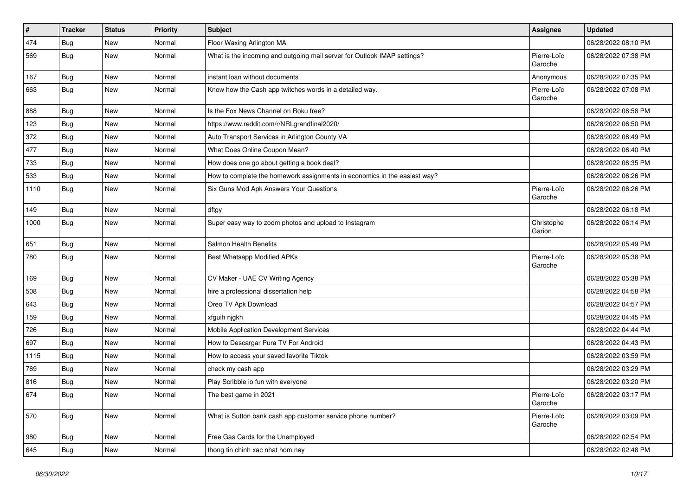| $\pmb{\#}$ | <b>Tracker</b> | <b>Status</b> | <b>Priority</b> | Subject                                                                   | <b>Assignee</b>        | <b>Updated</b>      |
|------------|----------------|---------------|-----------------|---------------------------------------------------------------------------|------------------------|---------------------|
| 474        | <b>Bug</b>     | New           | Normal          | Floor Waxing Arlington MA                                                 |                        | 06/28/2022 08:10 PM |
| 569        | <b>Bug</b>     | New           | Normal          | What is the incoming and outgoing mail server for Outlook IMAP settings?  | Pierre-Loïc<br>Garoche | 06/28/2022 07:38 PM |
| 167        | <b>Bug</b>     | New           | Normal          | instant loan without documents                                            | Anonymous              | 06/28/2022 07:35 PM |
| 663        | <b>Bug</b>     | New           | Normal          | Know how the Cash app twitches words in a detailed way.                   | Pierre-Loïc<br>Garoche | 06/28/2022 07:08 PM |
| 888        | <b>Bug</b>     | New           | Normal          | Is the Fox News Channel on Roku free?                                     |                        | 06/28/2022 06:58 PM |
| 123        | <b>Bug</b>     | New           | Normal          | https://www.reddit.com/r/NRLgrandfinal2020/                               |                        | 06/28/2022 06:50 PM |
| 372        | <b>Bug</b>     | New           | Normal          | Auto Transport Services in Arlington County VA                            |                        | 06/28/2022 06:49 PM |
| 477        | Bug            | New           | Normal          | What Does Online Coupon Mean?                                             |                        | 06/28/2022 06:40 PM |
| 733        | <b>Bug</b>     | New           | Normal          | How does one go about getting a book deal?                                |                        | 06/28/2022 06:35 PM |
| 533        | <b>Bug</b>     | New           | Normal          | How to complete the homework assignments in economics in the easiest way? |                        | 06/28/2022 06:26 PM |
| 1110       | <b>Bug</b>     | New           | Normal          | Six Guns Mod Apk Answers Your Questions                                   | Pierre-Loïc<br>Garoche | 06/28/2022 06:26 PM |
| 149        | <b>Bug</b>     | New           | Normal          | dftgy                                                                     |                        | 06/28/2022 06:18 PM |
| 1000       | Bug            | New           | Normal          | Super easy way to zoom photos and upload to Instagram                     | Christophe<br>Garion   | 06/28/2022 06:14 PM |
| 651        | <b>Bug</b>     | New           | Normal          | Salmon Health Benefits                                                    |                        | 06/28/2022 05:49 PM |
| 780        | Bug            | New           | Normal          | Best Whatsapp Modified APKs                                               | Pierre-Loïc<br>Garoche | 06/28/2022 05:38 PM |
| 169        | <b>Bug</b>     | New           | Normal          | CV Maker - UAE CV Writing Agency                                          |                        | 06/28/2022 05:38 PM |
| 508        | <b>Bug</b>     | New           | Normal          | hire a professional dissertation help                                     |                        | 06/28/2022 04:58 PM |
| 643        | <b>Bug</b>     | New           | Normal          | Oreo TV Apk Download                                                      |                        | 06/28/2022 04:57 PM |
| 159        | <b>Bug</b>     | New           | Normal          | xfguih njgkh                                                              |                        | 06/28/2022 04:45 PM |
| 726        | <b>Bug</b>     | New           | Normal          | Mobile Application Development Services                                   |                        | 06/28/2022 04:44 PM |
| 697        | Bug            | New           | Normal          | How to Descargar Pura TV For Android                                      |                        | 06/28/2022 04:43 PM |
| 1115       | <b>Bug</b>     | New           | Normal          | How to access your saved favorite Tiktok                                  |                        | 06/28/2022 03:59 PM |
| 769        | <b>Bug</b>     | New           | Normal          | check my cash app                                                         |                        | 06/28/2022 03:29 PM |
| 816        | <b>Bug</b>     | New           | Normal          | Play Scribble io fun with everyone                                        |                        | 06/28/2022 03:20 PM |
| 674        | <b>Bug</b>     | New           | Normal          | The best game in 2021                                                     | Pierre-Loïc<br>Garoche | 06/28/2022 03:17 PM |
| 570        | Bug            | New           | Normal          | What is Sutton bank cash app customer service phone number?               | Pierre-Loïc<br>Garoche | 06/28/2022 03:09 PM |
| 980        | Bug            | New           | Normal          | Free Gas Cards for the Unemployed                                         |                        | 06/28/2022 02:54 PM |
| 645        | Bug            | New           | Normal          | thong tin chinh xac nhat hom nay                                          |                        | 06/28/2022 02:48 PM |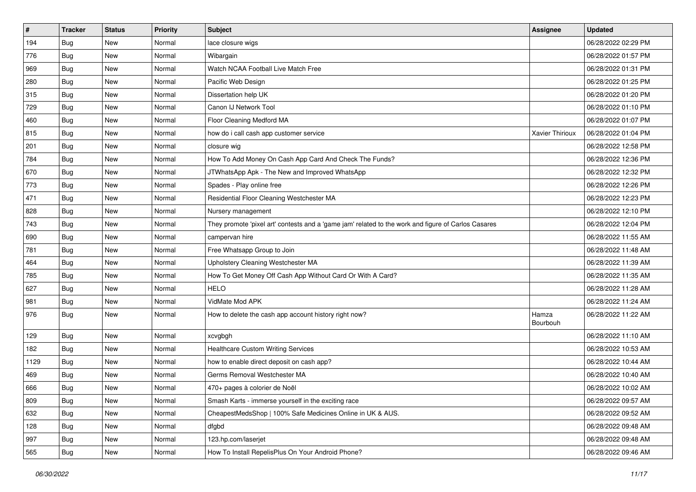| #    | <b>Tracker</b> | <b>Status</b> | <b>Priority</b> | <b>Subject</b>                                                                                      | <b>Assignee</b>   | <b>Updated</b>      |
|------|----------------|---------------|-----------------|-----------------------------------------------------------------------------------------------------|-------------------|---------------------|
| 194  | <b>Bug</b>     | New           | Normal          | lace closure wigs                                                                                   |                   | 06/28/2022 02:29 PM |
| 776  | Bug            | New           | Normal          | Wibargain                                                                                           |                   | 06/28/2022 01:57 PM |
| 969  | <b>Bug</b>     | New           | Normal          | Watch NCAA Football Live Match Free                                                                 |                   | 06/28/2022 01:31 PM |
| 280  | Bug            | New           | Normal          | Pacific Web Design                                                                                  |                   | 06/28/2022 01:25 PM |
| 315  | <b>Bug</b>     | New           | Normal          | Dissertation help UK                                                                                |                   | 06/28/2022 01:20 PM |
| 729  | <b>Bug</b>     | New           | Normal          | Canon IJ Network Tool                                                                               |                   | 06/28/2022 01:10 PM |
| 460  | Bug            | New           | Normal          | Floor Cleaning Medford MA                                                                           |                   | 06/28/2022 01:07 PM |
| 815  | <b>Bug</b>     | New           | Normal          | how do i call cash app customer service                                                             | Xavier Thirioux   | 06/28/2022 01:04 PM |
| 201  | Bug            | New           | Normal          | closure wig                                                                                         |                   | 06/28/2022 12:58 PM |
| 784  | Bug            | New           | Normal          | How To Add Money On Cash App Card And Check The Funds?                                              |                   | 06/28/2022 12:36 PM |
| 670  | <b>Bug</b>     | New           | Normal          | JTWhatsApp Apk - The New and Improved WhatsApp                                                      |                   | 06/28/2022 12:32 PM |
| 773  | <b>Bug</b>     | New           | Normal          | Spades - Play online free                                                                           |                   | 06/28/2022 12:26 PM |
| 471  | <b>Bug</b>     | New           | Normal          | Residential Floor Cleaning Westchester MA                                                           |                   | 06/28/2022 12:23 PM |
| 828  | <b>Bug</b>     | New           | Normal          | Nursery management                                                                                  |                   | 06/28/2022 12:10 PM |
| 743  | Bug            | New           | Normal          | They promote 'pixel art' contests and a 'game jam' related to the work and figure of Carlos Casares |                   | 06/28/2022 12:04 PM |
| 690  | <b>Bug</b>     | New           | Normal          | campervan hire                                                                                      |                   | 06/28/2022 11:55 AM |
| 781  | Bug            | New           | Normal          | Free Whatsapp Group to Join                                                                         |                   | 06/28/2022 11:48 AM |
| 464  | <b>Bug</b>     | New           | Normal          | Upholstery Cleaning Westchester MA                                                                  |                   | 06/28/2022 11:39 AM |
| 785  | <b>Bug</b>     | New           | Normal          | How To Get Money Off Cash App Without Card Or With A Card?                                          |                   | 06/28/2022 11:35 AM |
| 627  | Bug            | New           | Normal          | <b>HELO</b>                                                                                         |                   | 06/28/2022 11:28 AM |
| 981  | <b>Bug</b>     | New           | Normal          | VidMate Mod APK                                                                                     |                   | 06/28/2022 11:24 AM |
| 976  | <b>Bug</b>     | New           | Normal          | How to delete the cash app account history right now?                                               | Hamza<br>Bourbouh | 06/28/2022 11:22 AM |
| 129  | Bug            | New           | Normal          | xcvgbgh                                                                                             |                   | 06/28/2022 11:10 AM |
| 182  | <b>Bug</b>     | New           | Normal          | <b>Healthcare Custom Writing Services</b>                                                           |                   | 06/28/2022 10:53 AM |
| 1129 | <b>Bug</b>     | New           | Normal          | how to enable direct deposit on cash app?                                                           |                   | 06/28/2022 10:44 AM |
| 469  | <b>Bug</b>     | <b>New</b>    | Normal          | Germs Removal Westchester MA                                                                        |                   | 06/28/2022 10:40 AM |
| 666  | <b>Bug</b>     | <b>New</b>    | Normal          | 470+ pages à colorier de Noël                                                                       |                   | 06/28/2022 10:02 AM |
| 809  | <b>Bug</b>     | New           | Normal          | Smash Karts - immerse yourself in the exciting race                                                 |                   | 06/28/2022 09:57 AM |
| 632  | <b>Bug</b>     | New           | Normal          | CheapestMedsShop   100% Safe Medicines Online in UK & AUS.                                          |                   | 06/28/2022 09:52 AM |
| 128  | <b>Bug</b>     | New           | Normal          | dfgbd                                                                                               |                   | 06/28/2022 09:48 AM |
| 997  | Bug            | New           | Normal          | 123.hp.com/laserjet                                                                                 |                   | 06/28/2022 09:48 AM |
| 565  | <b>Bug</b>     | New           | Normal          | How To Install RepelisPlus On Your Android Phone?                                                   |                   | 06/28/2022 09:46 AM |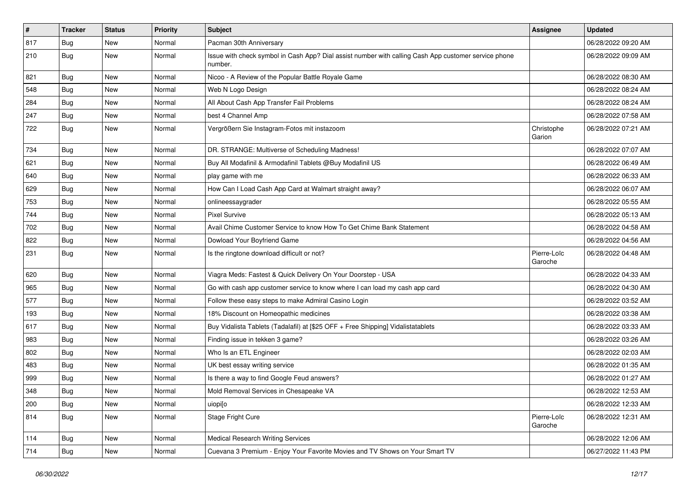| #   | <b>Tracker</b> | <b>Status</b> | <b>Priority</b> | <b>Subject</b>                                                                                                  | <b>Assignee</b>        | <b>Updated</b>      |
|-----|----------------|---------------|-----------------|-----------------------------------------------------------------------------------------------------------------|------------------------|---------------------|
| 817 | <b>Bug</b>     | New           | Normal          | Pacman 30th Anniversary                                                                                         |                        | 06/28/2022 09:20 AM |
| 210 | <b>Bug</b>     | New           | Normal          | Issue with check symbol in Cash App? Dial assist number with calling Cash App customer service phone<br>number. |                        | 06/28/2022 09:09 AM |
| 821 | <b>Bug</b>     | <b>New</b>    | Normal          | Nicoo - A Review of the Popular Battle Royale Game                                                              |                        | 06/28/2022 08:30 AM |
| 548 | Bug            | <b>New</b>    | Normal          | Web N Logo Design                                                                                               |                        | 06/28/2022 08:24 AM |
| 284 | <b>Bug</b>     | New           | Normal          | All About Cash App Transfer Fail Problems                                                                       |                        | 06/28/2022 08:24 AM |
| 247 | <b>Bug</b>     | New           | Normal          | best 4 Channel Amp                                                                                              |                        | 06/28/2022 07:58 AM |
| 722 | <b>Bug</b>     | New           | Normal          | Vergrößern Sie Instagram-Fotos mit instazoom                                                                    | Christophe<br>Garion   | 06/28/2022 07:21 AM |
| 734 | Bug            | New           | Normal          | DR. STRANGE: Multiverse of Scheduling Madness!                                                                  |                        | 06/28/2022 07:07 AM |
| 621 | <b>Bug</b>     | New           | Normal          | Buy All Modafinil & Armodafinil Tablets @Buy Modafinil US                                                       |                        | 06/28/2022 06:49 AM |
| 640 | Bug            | New           | Normal          | play game with me                                                                                               |                        | 06/28/2022 06:33 AM |
| 629 | Bug            | New           | Normal          | How Can I Load Cash App Card at Walmart straight away?                                                          |                        | 06/28/2022 06:07 AM |
| 753 | <b>Bug</b>     | New           | Normal          | onlineessaygrader                                                                                               |                        | 06/28/2022 05:55 AM |
| 744 | <b>Bug</b>     | New           | Normal          | <b>Pixel Survive</b>                                                                                            |                        | 06/28/2022 05:13 AM |
| 702 | Bug            | New           | Normal          | Avail Chime Customer Service to know How To Get Chime Bank Statement                                            |                        | 06/28/2022 04:58 AM |
| 822 | <b>Bug</b>     | New           | Normal          | Dowload Your Boyfriend Game                                                                                     |                        | 06/28/2022 04:56 AM |
| 231 | Bug            | New           | Normal          | Is the ringtone download difficult or not?                                                                      | Pierre-Loïc<br>Garoche | 06/28/2022 04:48 AM |
| 620 | Bug            | New           | Normal          | Viagra Meds: Fastest & Quick Delivery On Your Doorstep - USA                                                    |                        | 06/28/2022 04:33 AM |
| 965 | <b>Bug</b>     | New           | Normal          | Go with cash app customer service to know where I can load my cash app card                                     |                        | 06/28/2022 04:30 AM |
| 577 | <b>Bug</b>     | New           | Normal          | Follow these easy steps to make Admiral Casino Login                                                            |                        | 06/28/2022 03:52 AM |
| 193 | <b>Bug</b>     | New           | Normal          | 18% Discount on Homeopathic medicines                                                                           |                        | 06/28/2022 03:38 AM |
| 617 | Bug            | New           | Normal          | Buy Vidalista Tablets (Tadalafil) at [\$25 OFF + Free Shipping] Vidalistatablets                                |                        | 06/28/2022 03:33 AM |
| 983 | <b>Bug</b>     | New           | Normal          | Finding issue in tekken 3 game?                                                                                 |                        | 06/28/2022 03:26 AM |
| 802 | Bug            | New           | Normal          | Who Is an ETL Engineer                                                                                          |                        | 06/28/2022 02:03 AM |
| 483 | Bug            | New           | Normal          | UK best essay writing service                                                                                   |                        | 06/28/2022 01:35 AM |
| 999 | <b>Bug</b>     | New           | Normal          | Is there a way to find Google Feud answers?                                                                     |                        | 06/28/2022 01:27 AM |
| 348 | Bug            | New           | Normal          | Mold Removal Services in Chesapeake VA                                                                          |                        | 06/28/2022 12:53 AM |
| 200 | <b>Bug</b>     | New           | Normal          | uiopi[o                                                                                                         |                        | 06/28/2022 12:33 AM |
| 814 | <b>Bug</b>     | New           | Normal          | Stage Fright Cure                                                                                               | Pierre-Loïc<br>Garoche | 06/28/2022 12:31 AM |
| 114 | Bug            | New           | Normal          | <b>Medical Research Writing Services</b>                                                                        |                        | 06/28/2022 12:06 AM |
| 714 | <b>Bug</b>     | New           | Normal          | Cuevana 3 Premium - Enjoy Your Favorite Movies and TV Shows on Your Smart TV                                    |                        | 06/27/2022 11:43 PM |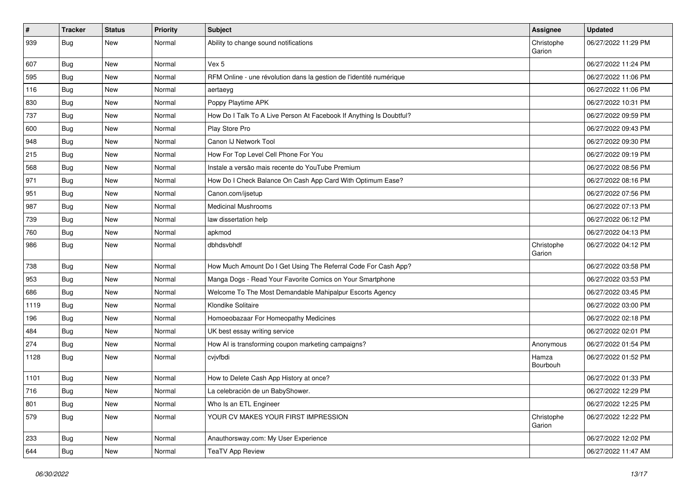| #    | <b>Tracker</b> | <b>Status</b> | <b>Priority</b> | <b>Subject</b>                                                      | Assignee             | <b>Updated</b>      |
|------|----------------|---------------|-----------------|---------------------------------------------------------------------|----------------------|---------------------|
| 939  | <b>Bug</b>     | New           | Normal          | Ability to change sound notifications                               | Christophe<br>Garion | 06/27/2022 11:29 PM |
| 607  | Bug            | New           | Normal          | Vex 5                                                               |                      | 06/27/2022 11:24 PM |
| 595  | Bug            | New           | Normal          | RFM Online - une révolution dans la gestion de l'identité numérique |                      | 06/27/2022 11:06 PM |
| 116  | Bug            | New           | Normal          | aertaeyg                                                            |                      | 06/27/2022 11:06 PM |
| 830  | <b>Bug</b>     | New           | Normal          | Poppy Playtime APK                                                  |                      | 06/27/2022 10:31 PM |
| 737  | <b>Bug</b>     | New           | Normal          | How Do I Talk To A Live Person At Facebook If Anything Is Doubtful? |                      | 06/27/2022 09:59 PM |
| 600  | Bug            | New           | Normal          | Play Store Pro                                                      |                      | 06/27/2022 09:43 PM |
| 948  | <b>Bug</b>     | New           | Normal          | Canon IJ Network Tool                                               |                      | 06/27/2022 09:30 PM |
| 215  | Bug            | <b>New</b>    | Normal          | How For Top Level Cell Phone For You                                |                      | 06/27/2022 09:19 PM |
| 568  | <b>Bug</b>     | New           | Normal          | Instale a versão mais recente do YouTube Premium                    |                      | 06/27/2022 08:56 PM |
| 971  | <b>Bug</b>     | New           | Normal          | How Do I Check Balance On Cash App Card With Optimum Ease?          |                      | 06/27/2022 08:16 PM |
| 951  | <b>Bug</b>     | New           | Normal          | Canon.com/ijsetup                                                   |                      | 06/27/2022 07:56 PM |
| 987  | <b>Bug</b>     | New           | Normal          | <b>Medicinal Mushrooms</b>                                          |                      | 06/27/2022 07:13 PM |
| 739  | Bug            | New           | Normal          | law dissertation help                                               |                      | 06/27/2022 06:12 PM |
| 760  | <b>Bug</b>     | New           | Normal          | apkmod                                                              |                      | 06/27/2022 04:13 PM |
| 986  | Bug            | New           | Normal          | dbhdsvbhdf                                                          | Christophe<br>Garion | 06/27/2022 04:12 PM |
| 738  | Bug            | New           | Normal          | How Much Amount Do I Get Using The Referral Code For Cash App?      |                      | 06/27/2022 03:58 PM |
| 953  | <b>Bug</b>     | New           | Normal          | Manga Dogs - Read Your Favorite Comics on Your Smartphone           |                      | 06/27/2022 03:53 PM |
| 686  | <b>Bug</b>     | New           | Normal          | Welcome To The Most Demandable Mahipalpur Escorts Agency            |                      | 06/27/2022 03:45 PM |
| 1119 | Bug            | New           | Normal          | Klondike Solitaire                                                  |                      | 06/27/2022 03:00 PM |
| 196  | Bug            | New           | Normal          | Homoeobazaar For Homeopathy Medicines                               |                      | 06/27/2022 02:18 PM |
| 484  | <b>Bug</b>     | New           | Normal          | UK best essay writing service                                       |                      | 06/27/2022 02:01 PM |
| 274  | <b>Bug</b>     | New           | Normal          | How AI is transforming coupon marketing campaigns?                  | Anonymous            | 06/27/2022 01:54 PM |
| 1128 | <b>Bug</b>     | New           | Normal          | cvjvfbdi                                                            | Hamza<br>Bourbouh    | 06/27/2022 01:52 PM |
| 1101 | <b>Bug</b>     | New           | Normal          | How to Delete Cash App History at once?                             |                      | 06/27/2022 01:33 PM |
| 716  | Bug            | New           | Normal          | La celebración de un BabyShower.                                    |                      | 06/27/2022 12:29 PM |
| 801  | Bug            | New           | Normal          | Who Is an ETL Engineer                                              |                      | 06/27/2022 12:25 PM |
| 579  | <b>Bug</b>     | New           | Normal          | YOUR CV MAKES YOUR FIRST IMPRESSION                                 | Christophe<br>Garion | 06/27/2022 12:22 PM |
| 233  | <b>Bug</b>     | New           | Normal          | Anauthorsway.com: My User Experience                                |                      | 06/27/2022 12:02 PM |
| 644  | <b>Bug</b>     | New           | Normal          | <b>TeaTV App Review</b>                                             |                      | 06/27/2022 11:47 AM |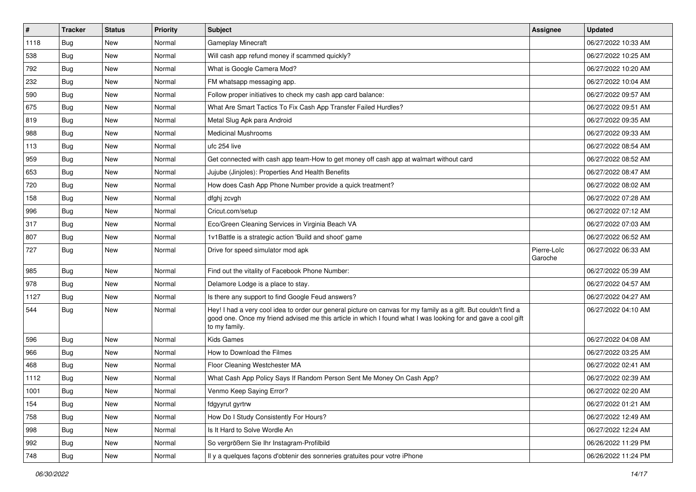| $\vert$ # | <b>Tracker</b> | <b>Status</b> | <b>Priority</b> | <b>Subject</b>                                                                                                                                                                                                                                    | <b>Assignee</b>        | <b>Updated</b>      |
|-----------|----------------|---------------|-----------------|---------------------------------------------------------------------------------------------------------------------------------------------------------------------------------------------------------------------------------------------------|------------------------|---------------------|
| 1118      | <b>Bug</b>     | New           | Normal          | Gameplay Minecraft                                                                                                                                                                                                                                |                        | 06/27/2022 10:33 AM |
| 538       | Bug            | <b>New</b>    | Normal          | Will cash app refund money if scammed quickly?                                                                                                                                                                                                    |                        | 06/27/2022 10:25 AM |
| 792       | Bug            | New           | Normal          | What is Google Camera Mod?                                                                                                                                                                                                                        |                        | 06/27/2022 10:20 AM |
| 232       | Bug            | New           | Normal          | FM whatsapp messaging app.                                                                                                                                                                                                                        |                        | 06/27/2022 10:04 AM |
| 590       | Bug            | <b>New</b>    | Normal          | Follow proper initiatives to check my cash app card balance:                                                                                                                                                                                      |                        | 06/27/2022 09:57 AM |
| 675       | Bug            | New           | Normal          | What Are Smart Tactics To Fix Cash App Transfer Failed Hurdles?                                                                                                                                                                                   |                        | 06/27/2022 09:51 AM |
| 819       | <b>Bug</b>     | New           | Normal          | Metal Slug Apk para Android                                                                                                                                                                                                                       |                        | 06/27/2022 09:35 AM |
| 988       | <b>Bug</b>     | New           | Normal          | <b>Medicinal Mushrooms</b>                                                                                                                                                                                                                        |                        | 06/27/2022 09:33 AM |
| 113       | <b>Bug</b>     | <b>New</b>    | Normal          | ufc 254 live                                                                                                                                                                                                                                      |                        | 06/27/2022 08:54 AM |
| 959       | Bug            | <b>New</b>    | Normal          | Get connected with cash app team-How to get money off cash app at walmart without card                                                                                                                                                            |                        | 06/27/2022 08:52 AM |
| 653       | <b>Bug</b>     | New           | Normal          | Jujube (Jinjoles): Properties And Health Benefits                                                                                                                                                                                                 |                        | 06/27/2022 08:47 AM |
| 720       | <b>Bug</b>     | New           | Normal          | How does Cash App Phone Number provide a quick treatment?                                                                                                                                                                                         |                        | 06/27/2022 08:02 AM |
| 158       | Bug            | New           | Normal          | dfghj zcvgh                                                                                                                                                                                                                                       |                        | 06/27/2022 07:28 AM |
| 996       | <b>Bug</b>     | <b>New</b>    | Normal          | Cricut.com/setup                                                                                                                                                                                                                                  |                        | 06/27/2022 07:12 AM |
| 317       | Bug            | <b>New</b>    | Normal          | Eco/Green Cleaning Services in Virginia Beach VA                                                                                                                                                                                                  |                        | 06/27/2022 07:03 AM |
| 807       | <b>Bug</b>     | New           | Normal          | 1v1Battle is a strategic action 'Build and shoot' game                                                                                                                                                                                            |                        | 06/27/2022 06:52 AM |
| 727       | Bug            | New           | Normal          | Drive for speed simulator mod apk                                                                                                                                                                                                                 | Pierre-Loïc<br>Garoche | 06/27/2022 06:33 AM |
| 985       | <b>Bug</b>     | New           | Normal          | Find out the vitality of Facebook Phone Number:                                                                                                                                                                                                   |                        | 06/27/2022 05:39 AM |
| 978       | <b>Bug</b>     | <b>New</b>    | Normal          | Delamore Lodge is a place to stay.                                                                                                                                                                                                                |                        | 06/27/2022 04:57 AM |
| 1127      | <b>Bug</b>     | New           | Normal          | Is there any support to find Google Feud answers?                                                                                                                                                                                                 |                        | 06/27/2022 04:27 AM |
| 544       | <b>Bug</b>     | New           | Normal          | Hey! I had a very cool idea to order our general picture on canvas for my family as a gift. But couldn't find a<br>good one. Once my friend advised me this article in which I found what I was looking for and gave a cool gift<br>to my family. |                        | 06/27/2022 04:10 AM |
| 596       | <b>Bug</b>     | New           | Normal          | <b>Kids Games</b>                                                                                                                                                                                                                                 |                        | 06/27/2022 04:08 AM |
| 966       | Bug            | <b>New</b>    | Normal          | How to Download the Filmes                                                                                                                                                                                                                        |                        | 06/27/2022 03:25 AM |
| 468       | Bug            | New           | Normal          | Floor Cleaning Westchester MA                                                                                                                                                                                                                     |                        | 06/27/2022 02:41 AM |
| 1112      | <b>Bug</b>     | New           | Normal          | What Cash App Policy Says If Random Person Sent Me Money On Cash App?                                                                                                                                                                             |                        | 06/27/2022 02:39 AM |
| 1001      | Bug            | New           | Normal          | Venmo Keep Saying Error?                                                                                                                                                                                                                          |                        | 06/27/2022 02:20 AM |
| 154       | <b>Bug</b>     | New           | Normal          | fdgyyrut gyrtrw                                                                                                                                                                                                                                   |                        | 06/27/2022 01:21 AM |
| 758       | Bug            | New           | Normal          | How Do I Study Consistently For Hours?                                                                                                                                                                                                            |                        | 06/27/2022 12:49 AM |
| 998       | <b>Bug</b>     | New           | Normal          | Is It Hard to Solve Wordle An                                                                                                                                                                                                                     |                        | 06/27/2022 12:24 AM |
| 992       | Bug            | New           | Normal          | So vergrößern Sie Ihr Instagram-Profilbild                                                                                                                                                                                                        |                        | 06/26/2022 11:29 PM |
| 748       | <b>Bug</b>     | New           | Normal          | Il y a quelques façons d'obtenir des sonneries gratuites pour votre iPhone                                                                                                                                                                        |                        | 06/26/2022 11:24 PM |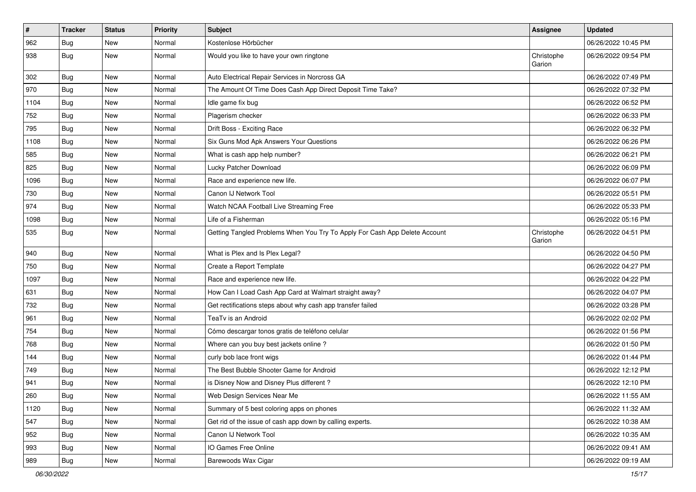| $\sharp$ | <b>Tracker</b> | <b>Status</b> | Priority | Subject                                                                    | <b>Assignee</b>      | <b>Updated</b>      |
|----------|----------------|---------------|----------|----------------------------------------------------------------------------|----------------------|---------------------|
| 962      | <b>Bug</b>     | New           | Normal   | Kostenlose Hörbücher                                                       |                      | 06/26/2022 10:45 PM |
| 938      | <b>Bug</b>     | <b>New</b>    | Normal   | Would you like to have your own ringtone                                   | Christophe<br>Garion | 06/26/2022 09:54 PM |
| 302      | Bug            | <b>New</b>    | Normal   | Auto Electrical Repair Services in Norcross GA                             |                      | 06/26/2022 07:49 PM |
| 970      | Bug            | <b>New</b>    | Normal   | The Amount Of Time Does Cash App Direct Deposit Time Take?                 |                      | 06/26/2022 07:32 PM |
| 1104     | <b>Bug</b>     | New           | Normal   | Idle game fix bug                                                          |                      | 06/26/2022 06:52 PM |
| 752      | Bug            | New           | Normal   | Plagerism checker                                                          |                      | 06/26/2022 06:33 PM |
| 795      | Bug            | New           | Normal   | Drift Boss - Exciting Race                                                 |                      | 06/26/2022 06:32 PM |
| 1108     | <b>Bug</b>     | New           | Normal   | Six Guns Mod Apk Answers Your Questions                                    |                      | 06/26/2022 06:26 PM |
| 585      | Bug            | <b>New</b>    | Normal   | What is cash app help number?                                              |                      | 06/26/2022 06:21 PM |
| 825      | Bug            | New           | Normal   | Lucky Patcher Download                                                     |                      | 06/26/2022 06:09 PM |
| 1096     | <b>Bug</b>     | New           | Normal   | Race and experience new life.                                              |                      | 06/26/2022 06:07 PM |
| 730      | Bug            | New           | Normal   | Canon IJ Network Tool                                                      |                      | 06/26/2022 05:51 PM |
| 974      | Bug            | New           | Normal   | Watch NCAA Football Live Streaming Free                                    |                      | 06/26/2022 05:33 PM |
| 1098     | Bug            | <b>New</b>    | Normal   | Life of a Fisherman                                                        |                      | 06/26/2022 05:16 PM |
| 535      | Bug            | New           | Normal   | Getting Tangled Problems When You Try To Apply For Cash App Delete Account | Christophe<br>Garion | 06/26/2022 04:51 PM |
| 940      | Bug            | <b>New</b>    | Normal   | What is Plex and Is Plex Legal?                                            |                      | 06/26/2022 04:50 PM |
| 750      | Bug            | New           | Normal   | Create a Report Template                                                   |                      | 06/26/2022 04:27 PM |
| 1097     | <b>Bug</b>     | New           | Normal   | Race and experience new life.                                              |                      | 06/26/2022 04:22 PM |
| 631      | Bug            | New           | Normal   | How Can I Load Cash App Card at Walmart straight away?                     |                      | 06/26/2022 04:07 PM |
| 732      | Bug            | New           | Normal   | Get rectifications steps about why cash app transfer failed                |                      | 06/26/2022 03:28 PM |
| 961      | Bug            | <b>New</b>    | Normal   | TeaTv is an Android                                                        |                      | 06/26/2022 02:02 PM |
| 754      | <b>Bug</b>     | New           | Normal   | Cómo descargar tonos gratis de teléfono celular                            |                      | 06/26/2022 01:56 PM |
| 768      | <b>Bug</b>     | New           | Normal   | Where can you buy best jackets online?                                     |                      | 06/26/2022 01:50 PM |
| 144      | Bug            | <b>New</b>    | Normal   | curly bob lace front wigs                                                  |                      | 06/26/2022 01:44 PM |
| 749      | <b>Bug</b>     | New           | Normal   | The Best Bubble Shooter Game for Android                                   |                      | 06/26/2022 12:12 PM |
| 941      | <b>Bug</b>     | New           | Normal   | is Disney Now and Disney Plus different?                                   |                      | 06/26/2022 12:10 PM |
| 260      | Bug            | New           | Normal   | Web Design Services Near Me                                                |                      | 06/26/2022 11:55 AM |
| 1120     | <b>Bug</b>     | New           | Normal   | Summary of 5 best coloring apps on phones                                  |                      | 06/26/2022 11:32 AM |
| 547      | Bug            | New           | Normal   | Get rid of the issue of cash app down by calling experts.                  |                      | 06/26/2022 10:38 AM |
| 952      | Bug            | New           | Normal   | Canon IJ Network Tool                                                      |                      | 06/26/2022 10:35 AM |
| 993      | <b>Bug</b>     | New           | Normal   | IO Games Free Online                                                       |                      | 06/26/2022 09:41 AM |
| 989      | Bug            | New           | Normal   | Barewoods Wax Cigar                                                        |                      | 06/26/2022 09:19 AM |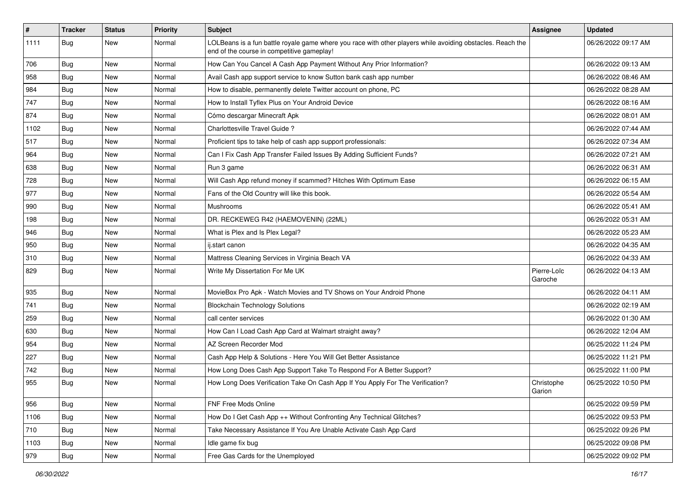| $\vert$ # | <b>Tracker</b> | <b>Status</b> | Priority | Subject                                                                                                                                                  | <b>Assignee</b>        | <b>Updated</b>      |
|-----------|----------------|---------------|----------|----------------------------------------------------------------------------------------------------------------------------------------------------------|------------------------|---------------------|
| 1111      | Bug            | New           | Normal   | LOLBeans is a fun battle royale game where you race with other players while avoiding obstacles. Reach the<br>end of the course in competitive gameplay! |                        | 06/26/2022 09:17 AM |
| 706       | <b>Bug</b>     | New           | Normal   | How Can You Cancel A Cash App Payment Without Any Prior Information?                                                                                     |                        | 06/26/2022 09:13 AM |
| 958       | <b>Bug</b>     | New           | Normal   | Avail Cash app support service to know Sutton bank cash app number                                                                                       |                        | 06/26/2022 08:46 AM |
| 984       | Bug            | <b>New</b>    | Normal   | How to disable, permanently delete Twitter account on phone, PC                                                                                          |                        | 06/26/2022 08:28 AM |
| 747       | <b>Bug</b>     | New           | Normal   | How to Install Tyflex Plus on Your Android Device                                                                                                        |                        | 06/26/2022 08:16 AM |
| 874       | <b>Bug</b>     | <b>New</b>    | Normal   | Cómo descargar Minecraft Apk                                                                                                                             |                        | 06/26/2022 08:01 AM |
| 1102      | <b>Bug</b>     | New           | Normal   | Charlottesville Travel Guide?                                                                                                                            |                        | 06/26/2022 07:44 AM |
| 517       | <b>Bug</b>     | New           | Normal   | Proficient tips to take help of cash app support professionals:                                                                                          |                        | 06/26/2022 07:34 AM |
| 964       | Bug            | <b>New</b>    | Normal   | Can I Fix Cash App Transfer Failed Issues By Adding Sufficient Funds?                                                                                    |                        | 06/26/2022 07:21 AM |
| 638       | Bug            | New           | Normal   | Run 3 game                                                                                                                                               |                        | 06/26/2022 06:31 AM |
| 728       | <b>Bug</b>     | New           | Normal   | Will Cash App refund money if scammed? Hitches With Optimum Ease                                                                                         |                        | 06/26/2022 06:15 AM |
| 977       | <b>Bug</b>     | <b>New</b>    | Normal   | Fans of the Old Country will like this book.                                                                                                             |                        | 06/26/2022 05:54 AM |
| 990       | Bug            | New           | Normal   | Mushrooms                                                                                                                                                |                        | 06/26/2022 05:41 AM |
| 198       | <b>Bug</b>     | <b>New</b>    | Normal   | DR. RECKEWEG R42 (HAEMOVENIN) (22ML)                                                                                                                     |                        | 06/26/2022 05:31 AM |
| 946       | <b>Bug</b>     | New           | Normal   | What is Plex and Is Plex Legal?                                                                                                                          |                        | 06/26/2022 05:23 AM |
| 950       | <b>Bug</b>     | New           | Normal   | ij.start canon                                                                                                                                           |                        | 06/26/2022 04:35 AM |
| 310       | Bug            | <b>New</b>    | Normal   | Mattress Cleaning Services in Virginia Beach VA                                                                                                          |                        | 06/26/2022 04:33 AM |
| 829       | <b>Bug</b>     | New           | Normal   | Write My Dissertation For Me UK                                                                                                                          | Pierre-Loïc<br>Garoche | 06/26/2022 04:13 AM |
| 935       | <b>Bug</b>     | <b>New</b>    | Normal   | MovieBox Pro Apk - Watch Movies and TV Shows on Your Android Phone                                                                                       |                        | 06/26/2022 04:11 AM |
| 741       | Bug            | New           | Normal   | <b>Blockchain Technology Solutions</b>                                                                                                                   |                        | 06/26/2022 02:19 AM |
| 259       | Bug            | <b>New</b>    | Normal   | call center services                                                                                                                                     |                        | 06/26/2022 01:30 AM |
| 630       | <b>Bug</b>     | New           | Normal   | How Can I Load Cash App Card at Walmart straight away?                                                                                                   |                        | 06/26/2022 12:04 AM |
| 954       | <b>Bug</b>     | New           | Normal   | AZ Screen Recorder Mod                                                                                                                                   |                        | 06/25/2022 11:24 PM |
| 227       | Bug            | New           | Normal   | Cash App Help & Solutions - Here You Will Get Better Assistance                                                                                          |                        | 06/25/2022 11:21 PM |
| 742       | <b>Bug</b>     | New           | Normal   | How Long Does Cash App Support Take To Respond For A Better Support?                                                                                     |                        | 06/25/2022 11:00 PM |
| 955       | <b>Bug</b>     | <b>New</b>    | Normal   | How Long Does Verification Take On Cash App If You Apply For The Verification?                                                                           | Christophe<br>Garion   | 06/25/2022 10:50 PM |
| 956       | Bug            | New           | Normal   | FNF Free Mods Online                                                                                                                                     |                        | 06/25/2022 09:59 PM |
| 1106      | <b>Bug</b>     | New           | Normal   | How Do I Get Cash App ++ Without Confronting Any Technical Glitches?                                                                                     |                        | 06/25/2022 09:53 PM |
| 710       | Bug            | New           | Normal   | Take Necessary Assistance If You Are Unable Activate Cash App Card                                                                                       |                        | 06/25/2022 09:26 PM |
| 1103      | Bug            | New           | Normal   | Idle game fix bug                                                                                                                                        |                        | 06/25/2022 09:08 PM |
| 979       | <b>Bug</b>     | New           | Normal   | Free Gas Cards for the Unemployed                                                                                                                        |                        | 06/25/2022 09:02 PM |